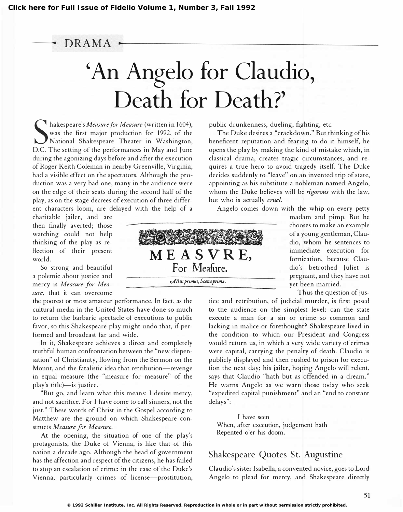# ---- DRAMA -.--------------------------------- 'An Angelo for Claudio, Death for Death?'

Nakespeare *S Measure for Measure* (written in 100-1),<br>was the first major production for 1992, of the<br>D.C. The setting of the performances in May and June hakespeare's Measure for Measure (written in 1604), was the first major production for 1992, of the National Shakespeare Theater in Washington, during the agonizing days before and after the execution of Roger Keith Coleman in nearby Greenville, Virginia, had a visible effect on the spectators. Although the production was a very bad one, many in the audience were on the edge of their seats during the second half of the play, as on the stage decrees of execution of three different characters loom, are delayed with the help of a

charitable jailer, and are then finally averted; those watching could not help thinking of the play as reflection of their present

So strong and beautiful a polemic about justice and mercy is Measure for Mea sure, that it can overcome

the poorest or most amateur performance. In fact, as the cultural media in the United States have done so much to return the barbaric spectacle of executions to public favor, so this Shakespeare play might undo that, if performed and broadcast far and wide.

In it, Shakespeare achieves a direct and completely truthful human confrontation between the "new dispensation" of Christianity, flowing from the Sermon on the Mount, and the fatalistic idea that retribution-revenge in equal measure (the "measure for measure" of the play's title)-is justice.

"But go, and learn what this means: I desire mercy, and not sacrifice. For I have come to call sinners, not the just." These words of Christ in the Gospel according to Matthew are the ground on which Shakespeare constructs Measure for Measure.

At the opening, the situation of one of the play's protagonists, the Duke of Vienna, is like that of this nation a decade ago. Although the head of government has the affection and respect of the citizens, he has failed to stop an escalation of crime: in the case of the Duke's Vienna, particularly crimes of license-prostitution,

flection of their present  $M E A S V R E$ , For Meafure. Altus primus, Scena prima.

immediate execution for fornication, because Claudio's betrothed Juliet is pregnant, and they have not yet been married.

Thus the question of jus-

madam and pimp. But he chooses to make an example of a young gentleman, Claudio, whom he sentences to

tice and retribution, of judicial murder, is first posed to the audience on the simplest level: can the state execute a man for a sin or crime so common and lacking in malice or forethought? Shakespeare lived in the condition to which our President and Congress would return us, in which a very wide variety of crimes were capital, carrying the penalty of death. Claudio is publicly displayed and then rushed to prison for execution the next day; his jailer, hoping Angelo will relent, says that Claudio "hath but as offended in a dream." He warns Angelo as we warn those today who seek "expedited capital punishment" and an "end to constant delays":

I have seen When, after execution, judgement hath Repented o'er his doom.

public drunkenness, dueling, fighting, etc.

but who is actually cruel.

The Duke desires a "crackdown." But thinking of his beneficent reputation and fearing to do it himself, he opens the play by making the kind of mistake which, in classical drama, creates tragic circumstances, and requires a true hero to avoid tragedy itself. The Duke decides suddenly to "leave" on an invented trip of state, appointing as his substitute a nobleman named Angelo, whom the Duke believes will be rigorous with the law,

Angelo comes down with the whip on every petty

# Shakespeare Quotes St. Augustine

Claudio's sister Isabella, a con vented novice, goes to Lord Angelo to plead for mercy, and Shakespeare directly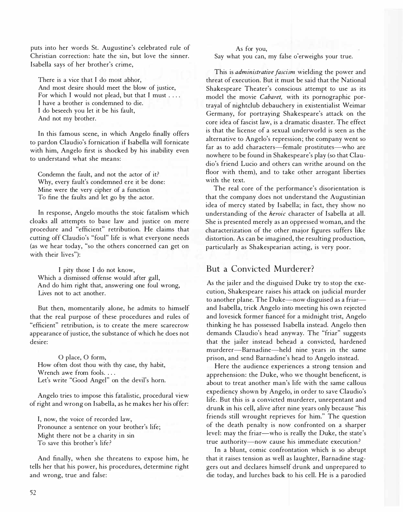puts into her words St. Augustine's celebrated rule of Christian correction: hate the sin, but love the sinner. Isabella says of her brother's crime,

There is a vice that I do most abhor, And most desire should meet the blow of justice, For which I would not plead, but that I must . . . . I have a brother is condemned to die. I do beseech you let it be his fault, And not my brother.

In this famous scene, in which Angelo finally offers to pardon Claudio's fornication if Isabella will fornicate with him, Angelo first is shocked by his inability even to understand what she means:

Condemn the fault, and not the actor of it? Why, every fault's condemned ere it be done: Mine were the very cipher of a function To fine the faults and let go by the actor.

In response, Angelo mouths the stoic fatalism which cloaks all attempts to base law and justice on mere procedure and "efficient" retribution. He claims that cutting off Claudio's "foul" life is what everyone needs (as we hear today, "so the others concerned can get on with their lives"):

I pity those I do not know, Which a dismissed offense would after gall, And do him right that, answering one foul wrong, Lives not to act another.

But then, momentarily alone, he admits to himself that the real purpose of these procedures and rules of "efficient" retribution, is to create the mere scarecrow appearance of justice, the substance of which he does not desire:

o place, 0 form, How often dost thou with thy case, thy habit, Wrench awe from fools. . . . Let's write "Good Angel" on the devil's horn.

Angelo tries to impose this fatalistic, procedural view of right and wrong on Isabella, as he makes her his offer:

I, now, the voice of recorded law, Pronounce a sentence on your brother's life; Might there not be a charity in sin To save this brother's life?

And finally, when she threatens to expose him, he tells her that his power, his procedures, determine right and wrong, true and false:

As for you, Say what you can, my false o'er weighs your true.

This is *administrative fascism* wielding the power and threat of execution. But it must be said that the National Shakespeare Theater's conscious attempt to use as its model the movie Cabaret, with its pornographic portrayal of nightclub debauchery in existentialist Weimar Germany, for portraying Shakespeare's attack on the core idea of fascist law, is a dramatic disaster. The effect is that the license of a sexual underworld is seen as the alternative to Angelo's repression; the company went so far as to add characters-female prostitutes-who are nowhere to be found in Shakespeare's play (so that Claudio's friend Lucio and others can writhe around on the floor with them), and to take other arrogant liberties with the text.

The real core of the performance's disorientation is that the company does not understand the Augustinian idea of mercy stated by Isabella; in fact, they show no understanding of the *heroic* character of Isabella at all. She is presented merely as an oppressed woman, and the characterization of the other major figures suffers like distortion. As can be imagined, the resulting production, particularly as Shakespearian acting, is very poor.

# But a Convicted Murderer?

As the jailer and the disguised Duke try to stop the execution, Shakespeare raises his attack on judicial murder to another plane. The Duke-now disguised as a friarand Isabella, trick Angelo into meeting his own rejected and lovesick former fianceé for a midnight trist, Angelo thinking he has possessed Isabella instead. Angelo then demands Claudio's head anyway. The "friar" suggests that the jailer instead behead a convicted, hardened murderer-Barnadine-held nine years in the same prison, and send Barnadine's head to Angelo instead.

Here the audience experiences a strong tension and apprehension: the Duke, who we thought beneficent, is about to treat another man's life with the same callous expediency shown by Angelo, in order to save Claudio's life. But this is a convicted murderer, unrepentant and drunk in his cell, alive after nine years only because "his friends still wrought reprieves for him." The question of the death penalty is now confronted on a sharper level: may the friar-who is really the Duke, the state's true authority-now cause his immediate execution?

In a blunt, comic confrontation which is so abrupt that it raises tension as well as laughter, Barnadine staggers out and declares himself drunk and unprepared to die today, and lurches back to his cell. He is a parodied